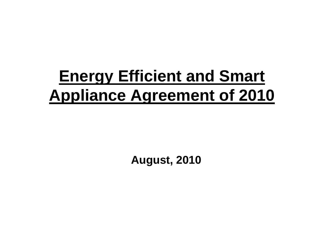### **Energy Efficient and Smart Appliance Agreement of 2010**

**August, 2010**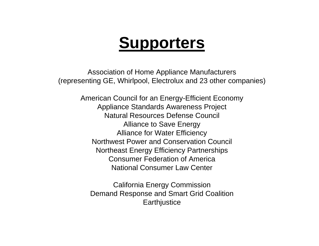### **Supporters**

Association of Home Appliance Manufacturers (representing GE, Whirlpool, Electrolux and 23 other companies)

> American Council for an Energy-Efficient Economy Appliance Standards Awareness Project Natural Resources Defense Council Alliance to Save Energy Alliance for Water Efficiency Northwest Power and Conservation Council Northeast Energy Efficiency Partnerships Consumer Federation of America National Consumer Law Center

California Energy Commission Demand Response and Smart Grid Coalition **Earthjustice**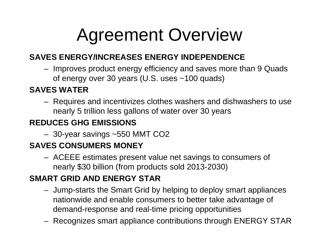# Agreement Overview

#### **SAVES ENERGY/INCREASES ENERGY INDEPENDENCE**

 Improves product energy efficiency and saves more than 9 Quads of energy over 30 years (U.S. uses ~100 quads)

#### **SAVES WATER**

 Requires and incentivizes clothes washers and dishwashers to use nearly 5 trillion less gallons of water over 30 years

#### **REDUCES GHG EMISSIONS**

30-year savings ~550 MMT CO2

#### **SAVES CONSUMERS MONEY**

 ACEEE estimates present value net savings to consumers of nearly \$30 billion (from products sold 2013-2030)

#### **SMART GRID AND ENERGY STAR**

- Jump-starts the Smart Grid by helping to deploy smart appliances nationwide and enable consumers to better take advantage of demand-response and real-time pricing opportunities
- Recognizes smart appliance contributions through ENERGY STAR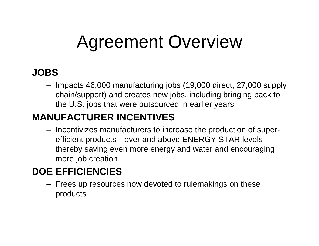# Agreement Overview

#### **JOBS**

 Impacts 46,000 manufacturing jobs (19,000 direct; 27,000 supply chain/support) and creates new jobs, including bringing back to the U.S. jobs that were outsourced in earlier years

#### **MANUFACTURER INCENTIVES**

– Incentivizes manufacturers to increase the production of superefficient products—over and above ENERGY STAR levels thereby saving even more energy and water and encouraging more job creation

#### **DOE EFFICIENCIES**

 Frees up resources now devoted to rulemakings on these products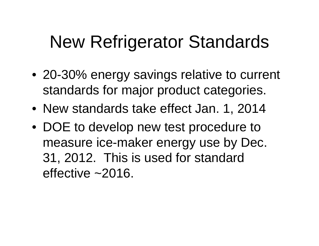# New Refrigerator Standards

- 20-30% energy savings relative to current standards for major product categories.
- New standards take effect Jan. 1, 2014
- DOE to develop new test procedure to measure ice-maker energy use by Dec. 31, 2012. This is used for standard effective ~2016.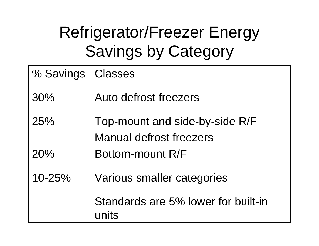## Refrigerator/Freezer Energy Savings by Category

| % Savings  | <b>Classes</b>                               |
|------------|----------------------------------------------|
| 30%        | Auto defrost freezers                        |
| 25%        | Top-mount and side-by-side R/F               |
|            | <b>Manual defrost freezers</b>               |
| 20%        | Bottom-mount R/F                             |
| $10 - 25%$ | Various smaller categories                   |
|            | Standards are 5% lower for built-in<br>units |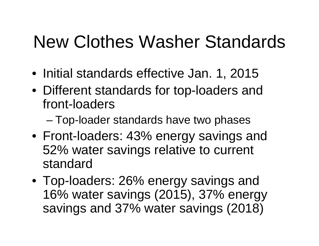# New Clothes Washer Standards

- Initial standards effective Jan. 1, 2015
- Different standards for top-loaders and front-loaders
	- and the state of the state Top-loader standards have two phases
- Front-loaders: 43% energy savings and 52% water savings relative to current standard
- Top-loaders: 26% energy savings and 16% water savings (2015), 37% energy savings and 37% water savings (2018)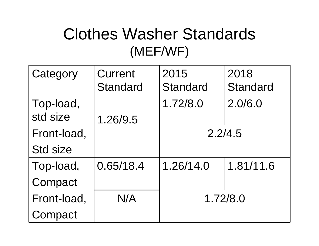### Clothes Washer Standards (MEF/WF)

| Category              | Current         | 2015            | 2018            |
|-----------------------|-----------------|-----------------|-----------------|
|                       | <b>Standard</b> | <b>Standard</b> | <b>Standard</b> |
| Top-load,<br>std size | 1.26/9.5        | 1.72/8.0        | 2.0/6.0         |
| Front-load,           |                 | 2.2/4.5         |                 |
| <b>Std size</b>       |                 |                 |                 |
| Top-load,             | 0.65/18.4       | 1.26/14.0       | 1.81/11.6       |
| Compact               |                 |                 |                 |
| Front-load,           | N/A             | 1.72/8.0        |                 |
| Compact               |                 |                 |                 |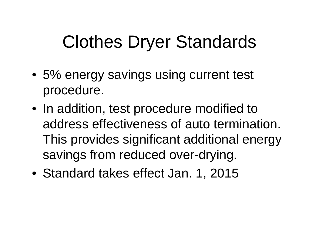# Clothes Dryer Standards

- 5% energy savings using current test procedure.
- In addition, test procedure modified to address effectiveness of auto termination. This provides significant additional energy savings from reduced over-drying.
- Standard takes effect Jan. 1, 2015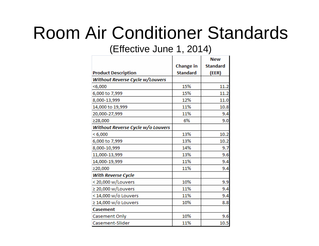## Room Air Conditioner Standards

(Effective June 1, 2014)

|                                   |                 | <b>New</b>      |
|-----------------------------------|-----------------|-----------------|
|                                   | Change in       | <b>Standard</b> |
| <b>Product Description</b>        | <b>Standard</b> | (EER)           |
| Without Reverse Cycle w/Louvers   |                 |                 |
| $<$ 6,000                         | 15%             | 11.2            |
| 6,000 to 7,999                    | 15%             | 11.2            |
| 8,000-13,999                      | 12%             | 11.0            |
| 14,000 to 19,999                  | 11%             | 10.8            |
| 20,000-27,999                     | 11%             | 9.4             |
| ≥28,000                           | 6%              | 9.0             |
| Without Reverse Cycle w/o Louvers |                 |                 |
| < 6,000                           | 13%             | 10.2            |
| 6,000 to 7,999                    | 13%             | 10.2            |
| 8,000-10,999                      | 14%             | 9.7             |
| 11,000-13,999                     | 13%             | 9.6             |
| 14,000-19,999                     | 11%             | 9.4             |
| ≥20,000                           | 11%             | 9.4             |
| <b>With Reverse Cycle</b>         |                 |                 |
| < 20,000 w/Louvers                | 10%             | 9.9             |
| $\geq$ 20,000 w/Louvers           | 11%             | 9.4             |
| < 14,000 w/o Louvers              | 11%             | 9.4             |
| $\geq$ 14,000 w/o Louvers         | 10%             | 8.8             |
| <b>Casement</b>                   |                 |                 |
| Casement Only                     | 10%             | 9.6             |
| Casement-Slider                   | 11%             | 10.5            |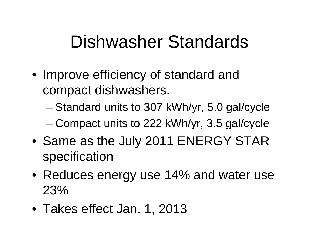## Dishwasher Standards

- Improve efficiency of standard and compact dishwashers.
	- and the state of the state Standard units to 307 kWh/yr, 5.0 gal/cycle
	- –Compact units to 222 kWh/yr, 3.5 gal/cycle
- Same as the July 2011 ENERGY STAR specification
- Reduces energy use 14% and water use 23%
- Takes effect Jan. 1, 2013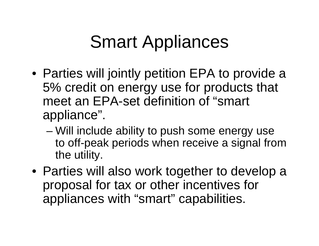# Smart Appliances

- Parties will jointly petition EPA to provide a 5% credit on energy use for products that meet an EPA-set definition of "smart appliance".
	- and the state of the state Will include ability to push some energy use to off-peak periods when receive a signal from the utility.
- Parties will also work together to develop a proposal for tax or other incentives for appliances with "smart" capabilities.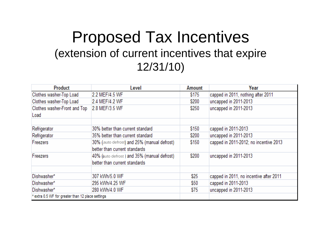#### Proposed Tax Incentives (extension of current incentives that expire 12/31/10)

| <b>Product</b>                                    | Level                                                                        | Amount | Year                                    |
|---------------------------------------------------|------------------------------------------------------------------------------|--------|-----------------------------------------|
| Clothes washer-Top Load                           | 2.2 MEF/4.5 WF                                                               | \$175  | capped in 2011, nothing after 2011      |
| Clothes washer-Top Load                           | 2.4 MEF/4.2 WF                                                               | \$200  | uncapped in 2011-2013                   |
| Clothes washer-Front and Top<br>Load              | 2.8 MEF/3.5 WF                                                               | \$250  | uncapped in 2011-2013                   |
|                                                   |                                                                              |        |                                         |
| Refrigerator                                      | 30% better than current standard                                             | \$150  | capped in 2011-2013                     |
| Refrigerator                                      | 35% better than current standard                                             | \$200  | uncapped in 2011-2013                   |
| Freezers                                          | 30% (auto defrost) and 25% (manual defrost)<br>better than current standards | \$150  | capped in 2011-2012; no incentive 2013  |
| Freezers                                          | 40% (auto defrost) and 35% (manual defrost)<br>better than current standards | \$200  | uncapped in 2011-2013                   |
|                                                   |                                                                              |        |                                         |
| Dishwasher*                                       | 307 kWh/5.0 WF                                                               | \$25   | capped in 2011, no incentive after 2011 |
| Dishwasher*                                       | 295 kWh/4.25 WF                                                              | \$50   | capped in 2011-2013                     |
| Dishwasher*                                       | 280 kWh/4.0 WF                                                               | \$75   | uncapped in 2011-2013                   |
| * extra 0.5 WF for greater than 12 place settings |                                                                              |        |                                         |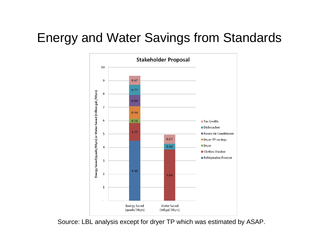#### Energy and Water Savings from Standards



Source: LBL analysis except for dryer TP which was estimated by ASAP.